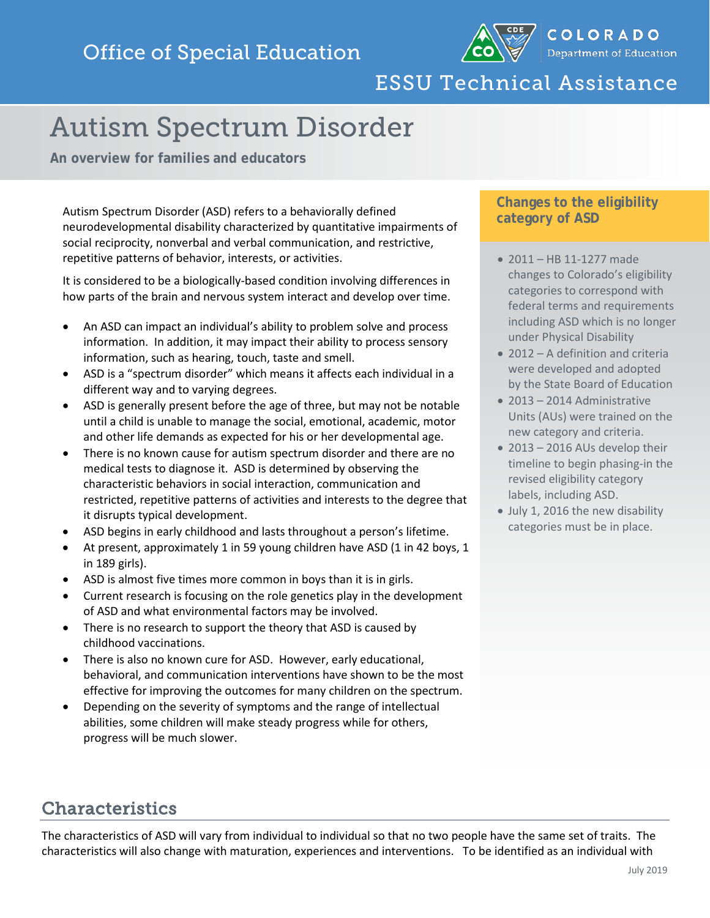

# ESSU Technical Assistance

# Autism Spectrum Disorder

**An overview for families and educators**

Autism Spectrum Disorder (ASD) refers to a behaviorally defined neurodevelopmental disability characterized by quantitative impairments of social reciprocity, nonverbal and verbal communication, and restrictive, repetitive patterns of behavior, interests, or activities.

It is considered to be a biologically-based condition involving differences in how parts of the brain and nervous system interact and develop over time.

- An ASD can impact an individual's ability to problem solve and process information. In addition, it may impact their ability to process sensory information, such as hearing, touch, taste and smell.
- ASD is a "spectrum disorder" which means it affects each individual in a different way and to varying degrees.
- ASD is generally present before the age of three, but may not be notable until a child is unable to manage the social, emotional, academic, motor and other life demands as expected for his or her developmental age.
- There is no known cause for autism spectrum disorder and there are no medical tests to diagnose it. ASD is determined by observing the characteristic behaviors in social interaction, communication and restricted, repetitive patterns of activities and interests to the degree that it disrupts typical development.
- ASD begins in early childhood and lasts throughout a person's lifetime.
- At present, approximately 1 in 59 young children have ASD (1 in 42 boys, 1 in 189 girls).
- ASD is almost five times more common in boys than it is in girls.
- Current research is focusing on the role genetics play in the development of ASD and what environmental factors may be involved.
- There is no research to support the theory that ASD is caused by childhood vaccinations.
- There is also no known cure for ASD. However, early educational, behavioral, and communication interventions have shown to be the most effective for improving the outcomes for many children on the spectrum.
- Depending on the severity of symptoms and the range of intellectual abilities, some children will make steady progress while for others, progress will be much slower.

## **Changes to the eligibility category of ASD**

- 2011 HB 11-1277 made changes to Colorado's eligibility categories to correspond with federal terms and requirements including ASD which is no longer under Physical Disability
- 2012 A definition and criteria were developed and adopted by the State Board of Education
- 2013 2014 Administrative Units (AUs) were trained on the new category and criteria.
- 2013 2016 AUs develop their timeline to begin phasing-in the revised eligibility category labels, including ASD.
- July 1, 2016 the new disability categories must be in place.

## Characteristics

The characteristics of ASD will vary from individual to individual so that no two people have the same set of traits. The characteristics will also change with maturation, experiences and interventions. To be identified as an individual with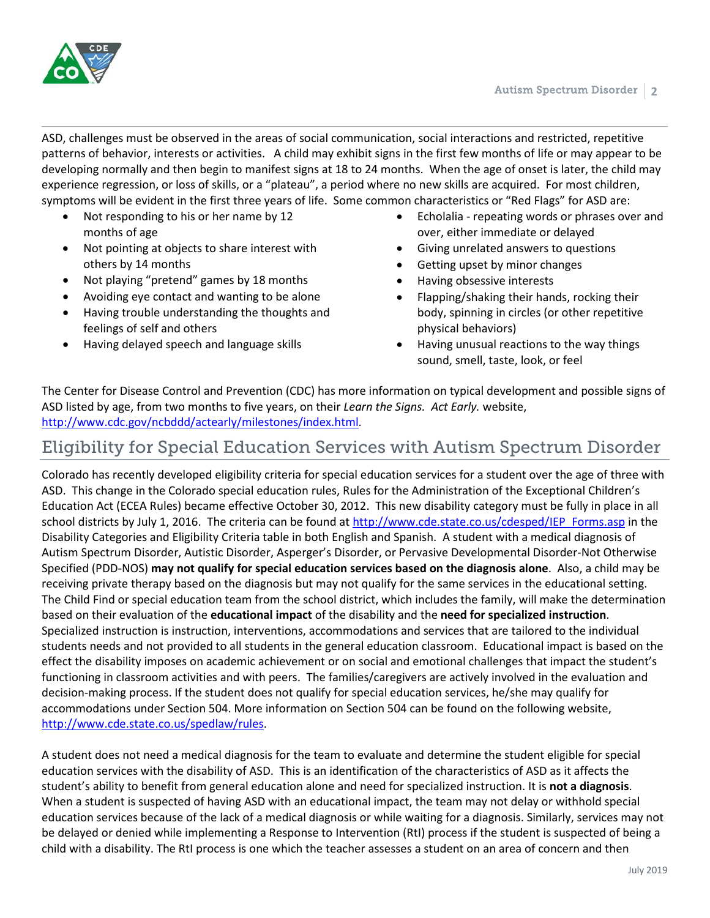

ASD, challenges must be observed in the areas of social communication, social interactions and restricted, repetitive patterns of behavior, interests or activities. A child may exhibit signs in the first few months of life or may appear to be developing normally and then begin to manifest signs at 18 to 24 months. When the age of onset is later, the child may experience regression, or loss of skills, or a "plateau", a period where no new skills are acquired. For most children, symptoms will be evident in the first three years of life. Some common characteristics or "Red Flags" for ASD are:

- Not responding to his or her name by 12 months of age
- Not pointing at objects to share interest with others by 14 months
- Not playing "pretend" games by 18 months
- Avoiding eye contact and wanting to be alone
- Having trouble understanding the thoughts and feelings of self and others
- Having delayed speech and language skills
- Echolalia repeating words or phrases over and over, either immediate or delayed
- Giving unrelated answers to questions
- Getting upset by minor changes
- Having obsessive interests
- Flapping/shaking their hands, rocking their body, spinning in circles (or other repetitive physical behaviors)
- Having unusual reactions to the way things sound, smell, taste, look, or feel

The Center for Disease Control and Prevention (CDC) has more information on typical development and possible signs of ASD listed by age, from two months to five years, on their *Learn the Signs. Act Early.* website, [http://www.cdc.gov/ncbddd/actearly/milestones/index.html.](http://www.cdc.gov/ncbddd/actearly/milestones/index.html)

## Eligibility for Special Education Services with Autism Spectrum Disorder

Colorado has recently developed eligibility criteria for special education services for a student over the age of three with ASD. This change in the Colorado special education rules, Rules for the Administration of the Exceptional Children's Education Act (ECEA Rules) became effective October 30, 2012. This new disability category must be fully in place in all school districts by July 1, 2016. The criteria can be found at [http://www.cde.state.co.us/cdesped/IEP\\_Forms.asp](http://www.cde.state.co.us/cdesped/IEP_Forms.asp) in the Disability Categories and Eligibility Criteria table in both English and Spanish. A student with a medical diagnosis of Autism Spectrum Disorder, Autistic Disorder, Asperger's Disorder, or Pervasive Developmental Disorder-Not Otherwise Specified (PDD-NOS) **may not qualify for special education services based on the diagnosis alone**. Also, a child may be receiving private therapy based on the diagnosis but may not qualify for the same services in the educational setting. The Child Find or special education team from the school district, which includes the family, will make the determination based on their evaluation of the **educational impact** of the disability and the **need for specialized instruction**. Specialized instruction is instruction, interventions, accommodations and services that are tailored to the individual students needs and not provided to all students in the general education classroom. Educational impact is based on the effect the disability imposes on academic achievement or on social and emotional challenges that impact the student's functioning in classroom activities and with peers. The families/caregivers are actively involved in the evaluation and decision-making process. If the student does not qualify for special education services, he/she may qualify for accommodations under Section 504. More information on Section 504 can be found on the following website, [http://www.cde.state.co.us/spedlaw/rules.](http://www.cde.state.co.us/spedlaw/rules)

A student does not need a medical diagnosis for the team to evaluate and determine the student eligible for special education services with the disability of ASD. This is an identification of the characteristics of ASD as it affects the student's ability to benefit from general education alone and need for specialized instruction. It is **not a diagnosis**. When a student is suspected of having ASD with an educational impact, the team may not delay or withhold special education services because of the lack of a medical diagnosis or while waiting for a diagnosis. Similarly, services may not be delayed or denied while implementing a Response to Intervention (RtI) process if the student is suspected of being a child with a disability. The RtI process is one which the teacher assesses a student on an area of concern and then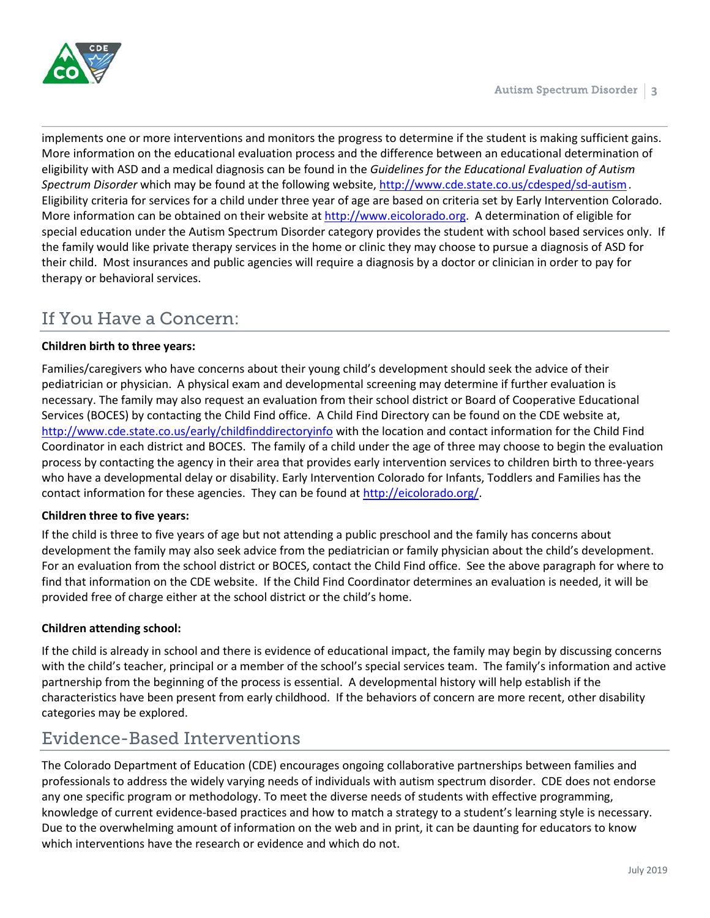

implements one or more interventions and monitors the progress to determine if the student is making sufficient gains. More information on the educational evaluation process and the difference between an educational determination of eligibility with ASD and a medical diagnosis can be found in the *Guidelines for the Educational Evaluation of Autism Spectrum Disorder* which may be found at the following website,<http://www.cde.state.co.us/cdesped/sd-autism>*.*  Eligibility criteria for services for a child under three year of age are based on criteria set by Early Intervention Colorado. More information can be obtained on their website at [http://www.eicolorado.org.](http://www.eicolorado.org/) A determination of eligible for special education under the Autism Spectrum Disorder category provides the student with school based services only. If the family would like private therapy services in the home or clinic they may choose to pursue a diagnosis of ASD for their child. Most insurances and public agencies will require a diagnosis by a doctor or clinician in order to pay for therapy or behavioral services.

# If You Have a Concern:

#### **Children birth to three years:**

Families/caregivers who have concerns about their young child's development should seek the advice of their pediatrician or physician. A physical exam and developmental screening may determine if further evaluation is necessary. The family may also request an evaluation from their school district or Board of Cooperative Educational Services (BOCES) by contacting the Child Find office. A Child Find Directory can be found on the CDE website at, <http://www.cde.state.co.us/early/childfinddirectoryinfo> with the location and contact information for the Child Find Coordinator in each district and BOCES. The family of a child under the age of three may choose to begin the evaluation process by contacting the agency in their area that provides early intervention services to children birth to three-years who have a developmental delay or disability. Early Intervention Colorado for Infants, Toddlers and Families has the contact information for these agencies. They can be found at [http://eicolorado.org/.](http://eicolorado.org/)

#### **Children three to five years:**

If the child is three to five years of age but not attending a public preschool and the family has concerns about development the family may also seek advice from the pediatrician or family physician about the child's development. For an evaluation from the school district or BOCES, contact the Child Find office. See the above paragraph for where to find that information on the CDE website. If the Child Find Coordinator determines an evaluation is needed, it will be provided free of charge either at the school district or the child's home.

### **Children attending school:**

If the child is already in school and there is evidence of educational impact, the family may begin by discussing concerns with the child's teacher, principal or a member of the school's special services team. The family's information and active partnership from the beginning of the process is essential. A developmental history will help establish if the characteristics have been present from early childhood. If the behaviors of concern are more recent, other disability categories may be explored.

## Evidence-Based Interventions

The Colorado Department of Education (CDE) encourages ongoing collaborative partnerships between families and professionals to address the widely varying needs of individuals with autism spectrum disorder. CDE does not endorse any one specific program or methodology. To meet the diverse needs of students with effective programming, knowledge of current evidence-based practices and how to match a strategy to a student's learning style is necessary. Due to the overwhelming amount of information on the web and in print, it can be daunting for educators to know which interventions have the research or evidence and which do not.